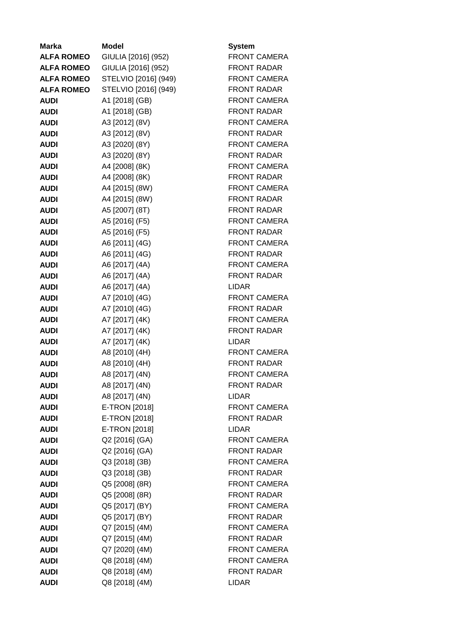| <b>Marka</b>      | Model                | System              |
|-------------------|----------------------|---------------------|
| <b>ALFA ROMEO</b> | GIULIA [2016] (952)  | <b>FRONT CAMERA</b> |
| <b>ALFA ROMEO</b> | GIULIA [2016] (952)  | <b>FRONT RADAR</b>  |
| <b>ALFA ROMEO</b> | STELVIO [2016] (949) | <b>FRONT CAMERA</b> |
| <b>ALFA ROMEO</b> | STELVIO [2016] (949) | <b>FRONT RADAR</b>  |
| <b>AUDI</b>       | A1 [2018] (GB)       | <b>FRONT CAMERA</b> |
| <b>AUDI</b>       | A1 [2018] (GB)       | <b>FRONT RADAR</b>  |
| <b>AUDI</b>       | A3 [2012] (8V)       | <b>FRONT CAMERA</b> |
| <b>AUDI</b>       | A3 [2012] (8V)       | <b>FRONT RADAR</b>  |
| <b>AUDI</b>       | A3 [2020] (8Y)       | <b>FRONT CAMERA</b> |
| <b>AUDI</b>       | A3 [2020] (8Y)       | <b>FRONT RADAR</b>  |
| <b>AUDI</b>       | A4 [2008] (8K)       | <b>FRONT CAMERA</b> |
| <b>AUDI</b>       | A4 [2008] (8K)       | <b>FRONT RADAR</b>  |
| <b>AUDI</b>       | A4 [2015] (8W)       | <b>FRONT CAMERA</b> |
| <b>AUDI</b>       | A4 [2015] (8W)       | <b>FRONT RADAR</b>  |
| <b>AUDI</b>       | A5 [2007] (8T)       | <b>FRONT RADAR</b>  |
| <b>AUDI</b>       | A5 [2016] (F5)       | <b>FRONT CAMERA</b> |
| <b>AUDI</b>       | A5 [2016] (F5)       | <b>FRONT RADAR</b>  |
| <b>AUDI</b>       | A6 [2011] (4G)       | <b>FRONT CAMERA</b> |
| <b>AUDI</b>       | A6 [2011] (4G)       | <b>FRONT RADAR</b>  |
| <b>AUDI</b>       | A6 [2017] (4A)       | <b>FRONT CAMERA</b> |
| <b>AUDI</b>       | A6 [2017] (4A)       | <b>FRONT RADAR</b>  |
| <b>AUDI</b>       | A6 [2017] (4A)       | <b>LIDAR</b>        |
| <b>AUDI</b>       | A7 [2010] (4G)       | <b>FRONT CAMERA</b> |
| <b>AUDI</b>       | A7 [2010] (4G)       | <b>FRONT RADAR</b>  |
| <b>AUDI</b>       | A7 [2017] (4K)       | <b>FRONT CAMERA</b> |
| <b>AUDI</b>       | A7 [2017] (4K)       | <b>FRONT RADAR</b>  |
| <b>AUDI</b>       | A7 [2017] (4K)       | <b>LIDAR</b>        |
| <b>AUDI</b>       | A8 [2010] (4H)       | <b>FRONT CAMERA</b> |
| <b>AUDI</b>       | A8 [2010] (4H)       | <b>FRONT RADAR</b>  |
| <b>AUDI</b>       | A8 [2017] (4N)       | <b>FRONT CAMERA</b> |
| <b>AUDI</b>       | A8 [2017] (4N)       | <b>FRONT RADAR</b>  |
| <b>AUDI</b>       | A8 [2017] (4N)       | <b>LIDAR</b>        |
| <b>AUDI</b>       | E-TRON [2018]        | <b>FRONT CAMERA</b> |
| <b>AUDI</b>       | E-TRON [2018]        | <b>FRONT RADAR</b>  |
| <b>AUDI</b>       | E-TRON [2018]        | <b>LIDAR</b>        |
| <b>AUDI</b>       | Q2 [2016] (GA)       | <b>FRONT CAMERA</b> |
| <b>AUDI</b>       | Q2 [2016] (GA)       | <b>FRONT RADAR</b>  |
| <b>AUDI</b>       | Q3 [2018] (3B)       | <b>FRONT CAMERA</b> |
| <b>AUDI</b>       | Q3 [2018] (3B)       | <b>FRONT RADAR</b>  |
| <b>AUDI</b>       | Q5 [2008] (8R)       | <b>FRONT CAMERA</b> |
| <b>AUDI</b>       | Q5 [2008] (8R)       | <b>FRONT RADAR</b>  |
| <b>AUDI</b>       | Q5 [2017] (BY)       | <b>FRONT CAMERA</b> |
| <b>AUDI</b>       | Q5 [2017] (BY)       | <b>FRONT RADAR</b>  |
| <b>AUDI</b>       | Q7 [2015] (4M)       | <b>FRONT CAMERA</b> |
| <b>AUDI</b>       | Q7 [2015] (4M)       | <b>FRONT RADAR</b>  |
| <b>AUDI</b>       | Q7 [2020] (4M)       | <b>FRONT CAMERA</b> |
| <b>AUDI</b>       | Q8 [2018] (4M)       | <b>FRONT CAMERA</b> |
| <b>AUDI</b>       | Q8 [2018] (4M)       | <b>FRONT RADAR</b>  |
| <b>AUDI</b>       | Q8 [2018] (4M)       | <b>LIDAR</b>        |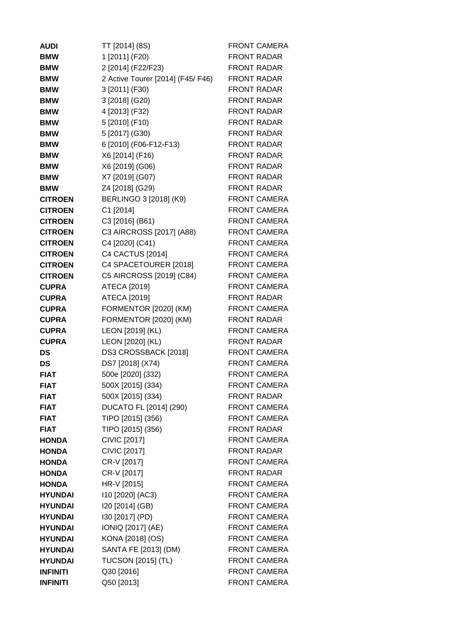| <b>AUDI</b>     | TT [2014] (8S)                    | <b>FRONT CAMERA</b> |
|-----------------|-----------------------------------|---------------------|
| <b>BMW</b>      | 1 [2011] (F20)                    | <b>FRONT RADAR</b>  |
| <b>BMW</b>      | 2 [2014] (F22/F23)                | <b>FRONT RADAR</b>  |
| <b>BMW</b>      | 2 Active Tourer [2014] (F45/ F46) | <b>FRONT RADAR</b>  |
| <b>BMW</b>      | 3 [2011] (F30)                    | <b>FRONT RADAR</b>  |
| <b>BMW</b>      | 3 [2018] (G20)                    | <b>FRONT RADAR</b>  |
| <b>BMW</b>      | 4 [2013] (F32)                    | <b>FRONT RADAR</b>  |
| <b>BMW</b>      | 5 [2010] (F10)                    | <b>FRONT RADAR</b>  |
| <b>BMW</b>      | 5 [2017] (G30)                    | <b>FRONT RADAR</b>  |
| <b>BMW</b>      | 6 [2010] (F06-F12-F13)            | <b>FRONT RADAR</b>  |
| <b>BMW</b>      | X6 [2014] (F16)                   | <b>FRONT RADAR</b>  |
| <b>BMW</b>      | X6 [2019] (G06)                   | <b>FRONT RADAR</b>  |
| <b>BMW</b>      | X7 [2019] (G07)                   | <b>FRONT RADAR</b>  |
| <b>BMW</b>      | Z4 [2018] (G29)                   | <b>FRONT RADAR</b>  |
| <b>CITROEN</b>  | BERLINGO 3 [2018] (K9)            | <b>FRONT CAMERA</b> |
| <b>CITROEN</b>  | C1 [2014]                         | <b>FRONT CAMERA</b> |
| <b>CITROEN</b>  | C3 [2016] (B61)                   | <b>FRONT CAMERA</b> |
| <b>CITROEN</b>  | C3 AIRCROSS [2017] (A88)          | FRONT CAMERA        |
| <b>CITROEN</b>  | C4 [2020] (C41)                   | <b>FRONT CAMERA</b> |
| <b>CITROEN</b>  | C4 CACTUS [2014]                  | <b>FRONT CAMERA</b> |
| <b>CITROEN</b>  | C4 SPACETOURER [2018]             | <b>FRONT CAMERA</b> |
| <b>CITROEN</b>  | C5 AIRCROSS [2019] (C84)          | <b>FRONT CAMERA</b> |
| <b>CUPRA</b>    | ATECA [2019]                      | <b>FRONT CAMERA</b> |
| <b>CUPRA</b>    | ATECA [2019]                      | <b>FRONT RADAR</b>  |
| <b>CUPRA</b>    | FORMENTOR [2020] (KM)             | <b>FRONT CAMERA</b> |
| <b>CUPRA</b>    | FORMENTOR [2020] (KM)             | <b>FRONT RADAR</b>  |
| <b>CUPRA</b>    | LEON [2019] (KL)                  | <b>FRONT CAMERA</b> |
| <b>CUPRA</b>    | LEON [2020] (KL)                  | <b>FRONT RADAR</b>  |
| <b>DS</b>       | DS3 CROSSBACK [2018]              | <b>FRONT CAMERA</b> |
| <b>DS</b>       | DS7 [2018] (X74)                  | <b>FRONT CAMERA</b> |
| <b>FIAT</b>     | 500e [2020] (332)                 | <b>FRONT CAMERA</b> |
| <b>FIAT</b>     | 500X [2015] (334)                 | <b>FRONT CAMERA</b> |
| <b>FIAT</b>     | 500X [2015] (334)                 | <b>FRONT RADAR</b>  |
| <b>FIAT</b>     | DUCATO FL [2014] (290)            | <b>FRONT CAMERA</b> |
| <b>FIAT</b>     | TIPO [2015] (356)                 | <b>FRONT CAMERA</b> |
| <b>FIAT</b>     | TIPO [2015] (356)                 | <b>FRONT RADAR</b>  |
| <b>HONDA</b>    | <b>CIVIC [2017]</b>               | <b>FRONT CAMERA</b> |
| <b>HONDA</b>    | <b>CIVIC [2017]</b>               | <b>FRONT RADAR</b>  |
| <b>HONDA</b>    | CR-V [2017]                       | <b>FRONT CAMERA</b> |
| <b>HONDA</b>    | CR-V [2017]                       | <b>FRONT RADAR</b>  |
| <b>HONDA</b>    | HR-V [2015]                       | <b>FRONT CAMERA</b> |
| <b>HYUNDAI</b>  | 110 [2020] (AC3)                  | <b>FRONT CAMERA</b> |
| <b>HYUNDAI</b>  | I20 [2014] (GB)                   | <b>FRONT CAMERA</b> |
| <b>HYUNDAI</b>  | I30 [2017] (PD)                   | <b>FRONT CAMERA</b> |
| <b>HYUNDAI</b>  | IONIQ [2017] (AE)                 | <b>FRONT CAMERA</b> |
| <b>HYUNDAI</b>  | KONA [2018] (OS)                  | <b>FRONT CAMERA</b> |
| <b>HYUNDAI</b>  | SANTA FE [2013] (DM)              | <b>FRONT CAMERA</b> |
| <b>HYUNDAI</b>  | <b>TUCSON [2015] (TL)</b>         | <b>FRONT CAMERA</b> |
| <b>INFINITI</b> | Q30 [2016]                        | <b>FRONT CAMERA</b> |
| <b>INFINITI</b> | Q50 [2013]                        | <b>FRONT CAMERA</b> |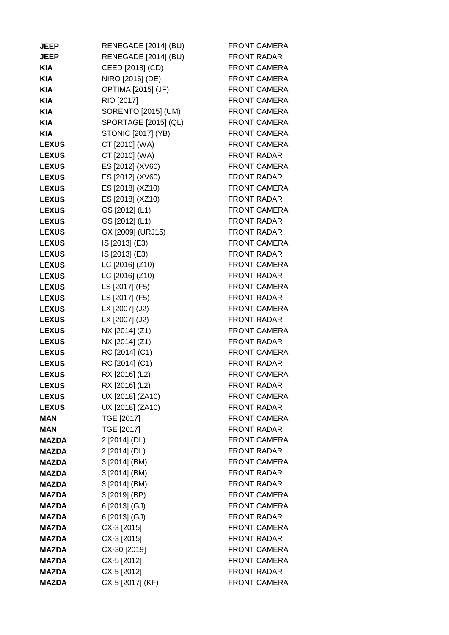| <b>JEEP</b>  | RENEGADE [2014] (BU)      | <b>FRONT CAMERA</b> |
|--------------|---------------------------|---------------------|
| <b>JEEP</b>  | RENEGADE [2014] (BU)      | <b>FRONT RADAR</b>  |
| <b>KIA</b>   | CEED [2018] (CD)          | <b>FRONT CAMERA</b> |
| <b>KIA</b>   | NIRO [2016] (DE)          | FRONT CAMERA        |
| <b>KIA</b>   | OPTIMA [2015] (JF)        | <b>FRONT CAMERA</b> |
| <b>KIA</b>   | RIO [2017]                | FRONT CAMERA        |
| <b>KIA</b>   | SORENTO [2015] (UM)       | <b>FRONT CAMERA</b> |
| <b>KIA</b>   | SPORTAGE [2015] (QL)      | FRONT CAMERA        |
| <b>KIA</b>   | <b>STONIC [2017] (YB)</b> | FRONT CAMERA        |
| <b>LEXUS</b> | CT [2010] (WA)            | <b>FRONT CAMERA</b> |
| <b>LEXUS</b> | CT [2010] (WA)            | <b>FRONT RADAR</b>  |
| <b>LEXUS</b> | ES [2012] (XV60)          | <b>FRONT CAMERA</b> |
| <b>LEXUS</b> | ES [2012] (XV60)          | <b>FRONT RADAR</b>  |
| <b>LEXUS</b> | ES [2018] (XZ10)          | <b>FRONT CAMERA</b> |
| <b>LEXUS</b> | ES [2018] (XZ10)          | <b>FRONT RADAR</b>  |
| <b>LEXUS</b> | GS [2012] (L1)            | <b>FRONT CAMERA</b> |
| <b>LEXUS</b> | GS [2012] (L1)            | <b>FRONT RADAR</b>  |
| <b>LEXUS</b> | GX [2009] (URJ15)         | <b>FRONT RADAR</b>  |
| <b>LEXUS</b> | IS [2013] (E3)            | <b>FRONT CAMERA</b> |
| <b>LEXUS</b> | IS [2013] (E3)            | <b>FRONT RADAR</b>  |
| <b>LEXUS</b> | LC [2016] (Z10)           | <b>FRONT CAMERA</b> |
| <b>LEXUS</b> | LC [2016] (Z10)           | <b>FRONT RADAR</b>  |
| <b>LEXUS</b> | LS [2017] (F5)            | <b>FRONT CAMERA</b> |
| <b>LEXUS</b> | LS [2017] (F5)            | <b>FRONT RADAR</b>  |
| <b>LEXUS</b> | LX [2007] (J2)            | <b>FRONT CAMERA</b> |
| <b>LEXUS</b> | LX [2007] (J2)            | <b>FRONT RADAR</b>  |
| <b>LEXUS</b> | NX [2014] (Z1)            | <b>FRONT CAMERA</b> |
| <b>LEXUS</b> | NX [2014] (Z1)            | <b>FRONT RADAR</b>  |
| <b>LEXUS</b> | RC [2014] (C1)            | <b>FRONT CAMERA</b> |
| <b>LEXUS</b> | RC [2014] (C1)            | <b>FRONT RADAR</b>  |
| <b>LEXUS</b> | RX [2016] (L2)            | <b>FRONT CAMERA</b> |
| <b>LEXUS</b> | RX [2016] (L2)            | <b>FRONT RADAR</b>  |
| <b>LEXUS</b> | UX [2018] (ZA10)          | <b>FRONT CAMERA</b> |
| <b>LEXUS</b> | UX [2018] (ZA10)          | <b>FRONT RADAR</b>  |
| <b>MAN</b>   | TGE [2017]                | <b>FRONT CAMERA</b> |
| <b>MAN</b>   | TGE [2017]                | <b>FRONT RADAR</b>  |
| <b>MAZDA</b> | 2 [2014] (DL)             | <b>FRONT CAMERA</b> |
| <b>MAZDA</b> | 2 [2014] (DL)             | <b>FRONT RADAR</b>  |
| <b>MAZDA</b> | 3 [2014] (BM)             | <b>FRONT CAMERA</b> |
| <b>MAZDA</b> | 3 [2014] (BM)             | <b>FRONT RADAR</b>  |
| <b>MAZDA</b> | 3 [2014] (BM)             | <b>FRONT RADAR</b>  |
| <b>MAZDA</b> | 3 [2019] (BP)             | FRONT CAMERA        |
| <b>MAZDA</b> | 6 [2013] (GJ)             | <b>FRONT CAMERA</b> |
| <b>MAZDA</b> | 6 [2013] (GJ)             | <b>FRONT RADAR</b>  |
| <b>MAZDA</b> | CX-3 [2015]               | <b>FRONT CAMERA</b> |
| <b>MAZDA</b> | CX-3 [2015]               | <b>FRONT RADAR</b>  |
| <b>MAZDA</b> | CX-30 [2019]              | <b>FRONT CAMERA</b> |
| <b>MAZDA</b> | CX-5 [2012]               | FRONT CAMERA        |
| <b>MAZDA</b> | CX-5 [2012]               | <b>FRONT RADAR</b>  |
| <b>MAZDA</b> | CX-5 [2017] (KF)          | <b>FRONT CAMERA</b> |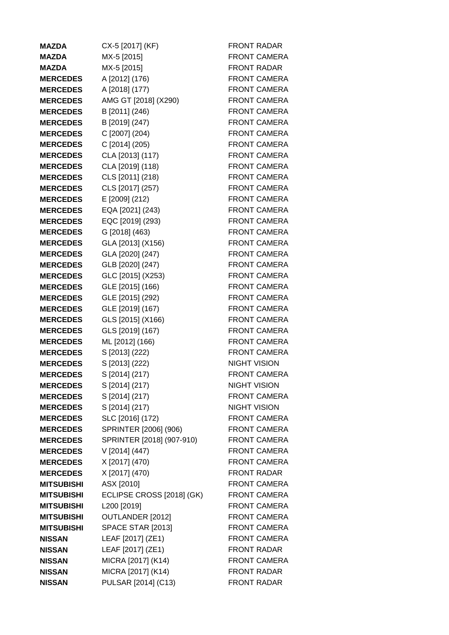| <b>MAZDA</b>      | CX-5 [2017] (KF)          | <b>FRONT RADAR</b>  |
|-------------------|---------------------------|---------------------|
| <b>MAZDA</b>      | MX-5 [2015]               | <b>FRONT CAMERA</b> |
| <b>MAZDA</b>      | MX-5 [2015]               | <b>FRONT RADAR</b>  |
| <b>MERCEDES</b>   | A [2012] (176)            | <b>FRONT CAMERA</b> |
| <b>MERCEDES</b>   | A [2018] (177)            | <b>FRONT CAMERA</b> |
| <b>MERCEDES</b>   | AMG GT [2018] (X290)      | <b>FRONT CAMERA</b> |
| <b>MERCEDES</b>   | B [2011] (246)            | <b>FRONT CAMERA</b> |
| <b>MERCEDES</b>   | B [2019] (247)            | <b>FRONT CAMERA</b> |
| <b>MERCEDES</b>   | C [2007] (204)            | <b>FRONT CAMERA</b> |
| <b>MERCEDES</b>   | C [2014] (205)            | FRONT CAMERA        |
| <b>MERCEDES</b>   | CLA [2013] (117)          | <b>FRONT CAMERA</b> |
| <b>MERCEDES</b>   | CLA [2019] (118)          | <b>FRONT CAMERA</b> |
| <b>MERCEDES</b>   | CLS [2011] (218)          | <b>FRONT CAMERA</b> |
| <b>MERCEDES</b>   | CLS [2017] (257)          | <b>FRONT CAMERA</b> |
| <b>MERCEDES</b>   | E [2009] (212)            | <b>FRONT CAMERA</b> |
| <b>MERCEDES</b>   | EQA [2021] (243)          | <b>FRONT CAMERA</b> |
| <b>MERCEDES</b>   | EQC [2019] (293)          | <b>FRONT CAMERA</b> |
| <b>MERCEDES</b>   | G [2018] (463)            | <b>FRONT CAMERA</b> |
| <b>MERCEDES</b>   | GLA [2013] (X156)         | <b>FRONT CAMERA</b> |
| <b>MERCEDES</b>   | GLA [2020] (247)          | <b>FRONT CAMERA</b> |
| <b>MERCEDES</b>   | GLB [2020] (247)          | <b>FRONT CAMERA</b> |
| <b>MERCEDES</b>   | GLC [2015] (X253)         | <b>FRONT CAMERA</b> |
| <b>MERCEDES</b>   | GLE [2015] (166)          | <b>FRONT CAMERA</b> |
| <b>MERCEDES</b>   | GLE [2015] (292)          | <b>FRONT CAMERA</b> |
| <b>MERCEDES</b>   | GLE [2019] (167)          | <b>FRONT CAMERA</b> |
| <b>MERCEDES</b>   | GLS [2015] (X166)         | <b>FRONT CAMERA</b> |
| <b>MERCEDES</b>   | GLS [2019] (167)          | <b>FRONT CAMERA</b> |
| <b>MERCEDES</b>   | ML [2012] (166)           | <b>FRONT CAMERA</b> |
| <b>MERCEDES</b>   | S [2013] (222)            | <b>FRONT CAMERA</b> |
| <b>MERCEDES</b>   | S [2013] (222)            | <b>NIGHT VISION</b> |
| <b>MERCEDES</b>   | S [2014] (217)            | <b>FRONT CAMERA</b> |
| <b>MERCEDES</b>   | S [2014] (217)            | <b>NIGHT VISION</b> |
| <b>MERCEDES</b>   | S [2014] (217)            | <b>FRONT CAMERA</b> |
| <b>MERCEDES</b>   | S [2014] (217)            | <b>NIGHT VISION</b> |
| <b>MERCEDES</b>   | SLC [2016] (172)          | <b>FRONT CAMERA</b> |
| <b>MERCEDES</b>   | SPRINTER [2006] (906)     | <b>FRONT CAMERA</b> |
| <b>MERCEDES</b>   | SPRINTER [2018] (907-910) | <b>FRONT CAMERA</b> |
| <b>MERCEDES</b>   | V [2014] (447)            | <b>FRONT CAMERA</b> |
| <b>MERCEDES</b>   | X [2017] (470)            | <b>FRONT CAMERA</b> |
| <b>MERCEDES</b>   | X [2017] (470)            | <b>FRONT RADAR</b>  |
| <b>MITSUBISHI</b> | ASX [2010]                | <b>FRONT CAMERA</b> |
| <b>MITSUBISHI</b> | ECLIPSE CROSS [2018] (GK) | <b>FRONT CAMERA</b> |
| <b>MITSUBISHI</b> | L200 [2019]               | <b>FRONT CAMERA</b> |
| <b>MITSUBISHI</b> | OUTLANDER [2012]          | <b>FRONT CAMERA</b> |
| <b>MITSUBISHI</b> | <b>SPACE STAR [2013]</b>  | <b>FRONT CAMERA</b> |
| <b>NISSAN</b>     | LEAF [2017] (ZE1)         | <b>FRONT CAMERA</b> |
| <b>NISSAN</b>     | LEAF [2017] (ZE1)         | <b>FRONT RADAR</b>  |
| <b>NISSAN</b>     | MICRA [2017] (K14)        | <b>FRONT CAMERA</b> |
| <b>NISSAN</b>     | MICRA [2017] (K14)        | <b>FRONT RADAR</b>  |
| <b>NISSAN</b>     | PULSAR [2014] (C13)       | <b>FRONT RADAR</b>  |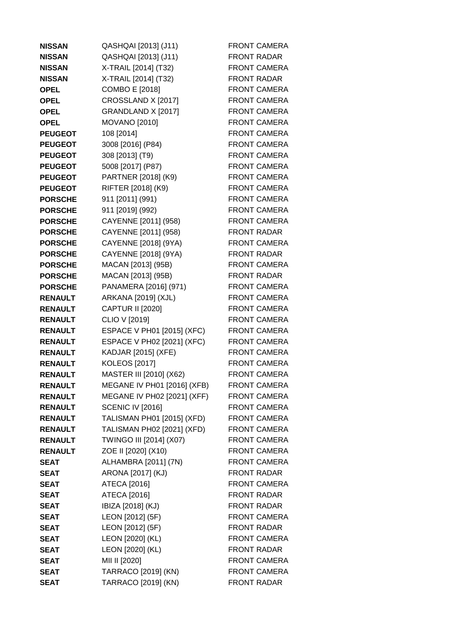| <b>NISSAN</b>  | QASHQAI [2013] (J11)        | <b>FRONT CAMERA</b> |
|----------------|-----------------------------|---------------------|
| <b>NISSAN</b>  | QASHQAI [2013] (J11)        | <b>FRONT RADAR</b>  |
| <b>NISSAN</b>  | X-TRAIL [2014] (T32)        | <b>FRONT CAMERA</b> |
| <b>NISSAN</b>  | X-TRAIL [2014] (T32)        | <b>FRONT RADAR</b>  |
| <b>OPEL</b>    | <b>COMBO E [2018]</b>       | <b>FRONT CAMERA</b> |
| <b>OPEL</b>    | CROSSLAND X [2017]          | <b>FRONT CAMERA</b> |
| <b>OPEL</b>    | GRANDLAND X [2017]          | <b>FRONT CAMERA</b> |
| <b>OPEL</b>    | <b>MOVANO</b> [2010]        | FRONT CAMERA        |
| <b>PEUGEOT</b> | 108 [2014]                  | <b>FRONT CAMERA</b> |
| <b>PEUGEOT</b> | 3008 [2016] (P84)           | <b>FRONT CAMERA</b> |
| <b>PEUGEOT</b> | 308 [2013] (T9)             | <b>FRONT CAMERA</b> |
| <b>PEUGEOT</b> | 5008 [2017] (P87)           | <b>FRONT CAMERA</b> |
| <b>PEUGEOT</b> | PARTNER [2018] (K9)         | <b>FRONT CAMERA</b> |
| <b>PEUGEOT</b> | RIFTER [2018] (K9)          | <b>FRONT CAMERA</b> |
| <b>PORSCHE</b> | 911 [2011] (991)            | <b>FRONT CAMERA</b> |
| <b>PORSCHE</b> | 911 [2019] (992)            | <b>FRONT CAMERA</b> |
| <b>PORSCHE</b> | CAYENNE [2011] (958)        | <b>FRONT CAMERA</b> |
| <b>PORSCHE</b> | CAYENNE [2011] (958)        | <b>FRONT RADAR</b>  |
| <b>PORSCHE</b> | CAYENNE [2018] (9YA)        | <b>FRONT CAMERA</b> |
| <b>PORSCHE</b> | CAYENNE [2018] (9YA)        | <b>FRONT RADAR</b>  |
| <b>PORSCHE</b> | MACAN [2013] (95B)          | <b>FRONT CAMERA</b> |
| <b>PORSCHE</b> | MACAN [2013] (95B)          | <b>FRONT RADAR</b>  |
| <b>PORSCHE</b> | PANAMERA [2016] (971)       | <b>FRONT CAMERA</b> |
| <b>RENAULT</b> | ARKANA [2019] (XJL)         | <b>FRONT CAMERA</b> |
| <b>RENAULT</b> | <b>CAPTUR II [2020]</b>     | <b>FRONT CAMERA</b> |
| <b>RENAULT</b> | CLIO V [2019]               | <b>FRONT CAMERA</b> |
| <b>RENAULT</b> | ESPACE V PH01 [2015] (XFC)  | <b>FRONT CAMERA</b> |
| <b>RENAULT</b> | ESPACE V PH02 [2021] (XFC)  | <b>FRONT CAMERA</b> |
| <b>RENAULT</b> | KADJAR [2015] (XFE)         | <b>FRONT CAMERA</b> |
| <b>RENAULT</b> | <b>KOLEOS</b> [2017]        | <b>FRONT CAMERA</b> |
| <b>RENAULT</b> | MASTER III [2010] (X62)     | <b>FRONT CAMERA</b> |
| <b>RENAULT</b> | MEGANE IV PH01 [2016] (XFB) | <b>FRONT CAMERA</b> |
| <b>RENAULT</b> | MEGANE IV PH02 [2021] (XFF) | <b>FRONT CAMERA</b> |
| <b>RENAULT</b> | <b>SCENIC IV [2016]</b>     | <b>FRONT CAMERA</b> |
| <b>RENAULT</b> | TALISMAN PH01 [2015] (XFD)  | <b>FRONT CAMERA</b> |
| <b>RENAULT</b> | TALISMAN PH02 [2021] (XFD)  | <b>FRONT CAMERA</b> |
| <b>RENAULT</b> | TWINGO III [2014] (X07)     | <b>FRONT CAMERA</b> |
| <b>RENAULT</b> | ZOE II [2020] (X10)         | <b>FRONT CAMERA</b> |
| <b>SEAT</b>    | ALHAMBRA [2011] (7N)        | <b>FRONT CAMERA</b> |
| <b>SEAT</b>    | ARONA [2017] (KJ)           | <b>FRONT RADAR</b>  |
| <b>SEAT</b>    | ATECA [2016]                | <b>FRONT CAMERA</b> |
| SEAT           | ATECA [2016]                | <b>FRONT RADAR</b>  |
| <b>SEAT</b>    | IBIZA [2018] (KJ)           | <b>FRONT RADAR</b>  |
| <b>SEAT</b>    | LEON [2012] (5F)            | <b>FRONT CAMERA</b> |
| <b>SEAT</b>    | LEON [2012] (5F)            | <b>FRONT RADAR</b>  |
| <b>SEAT</b>    | LEON [2020] (KL)            | <b>FRONT CAMERA</b> |
| <b>SEAT</b>    | LEON [2020] (KL)            | <b>FRONT RADAR</b>  |
| <b>SEAT</b>    | MII II [2020]               | <b>FRONT CAMERA</b> |
| <b>SEAT</b>    | TARRACO [2019] (KN)         | <b>FRONT CAMERA</b> |
| <b>SEAT</b>    | TARRACO [2019] (KN)         | <b>FRONT RADAR</b>  |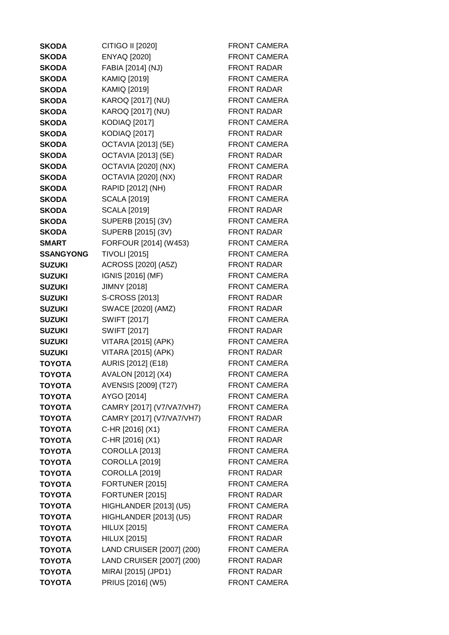| <b>SKODA</b>     | CITIGO II [2020]          | <b>FRONT CAMERA</b> |
|------------------|---------------------------|---------------------|
| <b>SKODA</b>     | <b>ENYAQ [2020]</b>       | <b>FRONT CAMERA</b> |
| <b>SKODA</b>     | FABIA [2014] (NJ)         | <b>FRONT RADAR</b>  |
| <b>SKODA</b>     | KAMIQ [2019]              | <b>FRONT CAMERA</b> |
| <b>SKODA</b>     | KAMIQ [2019]              | <b>FRONT RADAR</b>  |
| <b>SKODA</b>     | KAROQ [2017] (NU)         | <b>FRONT CAMERA</b> |
| <b>SKODA</b>     | KAROQ [2017] (NU)         | <b>FRONT RADAR</b>  |
| <b>SKODA</b>     | <b>KODIAQ [2017]</b>      | <b>FRONT CAMERA</b> |
| <b>SKODA</b>     | <b>KODIAQ [2017]</b>      | <b>FRONT RADAR</b>  |
| <b>SKODA</b>     | OCTAVIA [2013] (5E)       | FRONT CAMERA        |
| <b>SKODA</b>     | OCTAVIA [2013] (5E)       | <b>FRONT RADAR</b>  |
| <b>SKODA</b>     | OCTAVIA [2020] (NX)       | <b>FRONT CAMERA</b> |
| <b>SKODA</b>     | OCTAVIA [2020] (NX)       | <b>FRONT RADAR</b>  |
| <b>SKODA</b>     | RAPID [2012] (NH)         | <b>FRONT RADAR</b>  |
| <b>SKODA</b>     | <b>SCALA [2019]</b>       | FRONT CAMERA        |
| <b>SKODA</b>     | <b>SCALA [2019]</b>       | <b>FRONT RADAR</b>  |
| <b>SKODA</b>     | SUPERB [2015] (3V)        | <b>FRONT CAMERA</b> |
| <b>SKODA</b>     | SUPERB [2015] (3V)        | <b>FRONT RADAR</b>  |
| <b>SMART</b>     | FORFOUR [2014] (W453)     | FRONT CAMERA        |
| <b>SSANGYONG</b> | <b>TIVOLI</b> [2015]      | <b>FRONT CAMERA</b> |
| <b>SUZUKI</b>    | ACROSS [2020] (A5Z)       | <b>FRONT RADAR</b>  |
| <b>SUZUKI</b>    | IGNIS [2016] (MF)         | FRONT CAMERA        |
| <b>SUZUKI</b>    | JIMNY [2018]              | <b>FRONT CAMERA</b> |
| <b>SUZUKI</b>    | S-CROSS [2013]            | <b>FRONT RADAR</b>  |
| <b>SUZUKI</b>    | SWACE [2020] (AMZ)        | <b>FRONT RADAR</b>  |
| <b>SUZUKI</b>    | <b>SWIFT [2017]</b>       | <b>FRONT CAMERA</b> |
| <b>SUZUKI</b>    | <b>SWIFT [2017]</b>       | <b>FRONT RADAR</b>  |
| <b>SUZUKI</b>    | VITARA [2015] (APK)       | FRONT CAMERA        |
| <b>SUZUKI</b>    | VITARA [2015] (APK)       | <b>FRONT RADAR</b>  |
| <b>TOYOTA</b>    | AURIS [2012] (E18)        | <b>FRONT CAMERA</b> |
| <b>TOYOTA</b>    | AVALON [2012] (X4)        | <b>FRONT CAMERA</b> |
| <b>TOYOTA</b>    | AVENSIS [2009] (T27)      | <b>FRONT CAMERA</b> |
| <b>TOYOTA</b>    | AYGO [2014]               | <b>FRONT CAMERA</b> |
| <b>TOYOTA</b>    | CAMRY [2017] (V7/VA7/VH7) | <b>FRONT CAMERA</b> |
| <b>TOYOTA</b>    | CAMRY [2017] (V7/VA7/VH7) | <b>FRONT RADAR</b>  |
| <b>TOYOTA</b>    | C-HR [2016] (X1)          | <b>FRONT CAMERA</b> |
| <b>TOYOTA</b>    | C-HR [2016] (X1)          | <b>FRONT RADAR</b>  |
| <b>TOYOTA</b>    | <b>COROLLA [2013]</b>     | <b>FRONT CAMERA</b> |
| <b>TOYOTA</b>    | <b>COROLLA [2019]</b>     | <b>FRONT CAMERA</b> |
| <b>TOYOTA</b>    | <b>COROLLA [2019]</b>     | <b>FRONT RADAR</b>  |
| <b>TOYOTA</b>    | FORTUNER [2015]           | FRONT CAMERA        |
| <b>TOYOTA</b>    | FORTUNER [2015]           | <b>FRONT RADAR</b>  |
| <b>TOYOTA</b>    | HIGHLANDER [2013] (U5)    | <b>FRONT CAMERA</b> |
| <b>TOYOTA</b>    | HIGHLANDER [2013] (U5)    | <b>FRONT RADAR</b>  |
| <b>TOYOTA</b>    | <b>HILUX [2015]</b>       | <b>FRONT CAMERA</b> |
| <b>TOYOTA</b>    | <b>HILUX [2015]</b>       | <b>FRONT RADAR</b>  |
| <b>TOYOTA</b>    | LAND CRUISER [2007] (200) | <b>FRONT CAMERA</b> |
| <b>TOYOTA</b>    | LAND CRUISER [2007] (200) | <b>FRONT RADAR</b>  |
| <b>TOYOTA</b>    | MIRAI [2015] (JPD1)       | <b>FRONT RADAR</b>  |
| <b>TOYOTA</b>    | PRIUS [2016] (W5)         | FRONT CAMERA        |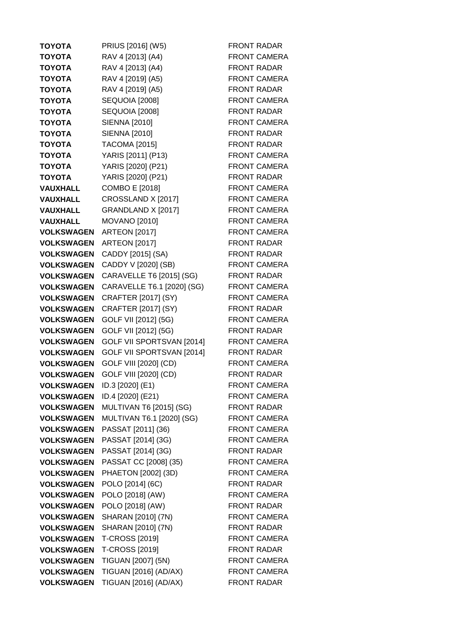| <b>TOYOTA</b>     | PRIUS [2016] (W5)          | <b>FRONT RADAR</b>  |
|-------------------|----------------------------|---------------------|
| <b>TOYOTA</b>     | RAV 4 [2013] (A4)          | <b>FRONT CAMERA</b> |
| <b>TOYOTA</b>     | RAV 4 [2013] (A4)          | <b>FRONT RADAR</b>  |
| <b>TOYOTA</b>     | RAV 4 [2019] (A5)          | <b>FRONT CAMERA</b> |
| <b>TOYOTA</b>     | RAV 4 [2019] (A5)          | <b>FRONT RADAR</b>  |
| <b>TOYOTA</b>     | <b>SEQUOIA [2008]</b>      | <b>FRONT CAMERA</b> |
| <b>TOYOTA</b>     | <b>SEQUOIA [2008]</b>      | <b>FRONT RADAR</b>  |
| <b>TOYOTA</b>     | <b>SIENNA [2010]</b>       | <b>FRONT CAMERA</b> |
| <b>TOYOTA</b>     | SIENNA [2010]              | <b>FRONT RADAR</b>  |
| <b>TOYOTA</b>     | <b>TACOMA [2015]</b>       | <b>FRONT RADAR</b>  |
| <b>TOYOTA</b>     | YARIS [2011] (P13)         | <b>FRONT CAMERA</b> |
| <b>TOYOTA</b>     | YARIS [2020] (P21)         | <b>FRONT CAMERA</b> |
| <b>TOYOTA</b>     | YARIS [2020] (P21)         | <b>FRONT RADAR</b>  |
| <b>VAUXHALL</b>   | <b>COMBO E [2018]</b>      | <b>FRONT CAMERA</b> |
| <b>VAUXHALL</b>   | CROSSLAND X [2017]         | <b>FRONT CAMERA</b> |
| <b>VAUXHALL</b>   | GRANDLAND X [2017]         | <b>FRONT CAMERA</b> |
| <b>VAUXHALL</b>   | <b>MOVANO [2010]</b>       | <b>FRONT CAMERA</b> |
| <b>VOLKSWAGEN</b> | <b>ARTEON [2017]</b>       | <b>FRONT CAMERA</b> |
| <b>VOLKSWAGEN</b> | <b>ARTEON [2017]</b>       | <b>FRONT RADAR</b>  |
| <b>VOLKSWAGEN</b> | CADDY [2015] (SA)          | <b>FRONT RADAR</b>  |
| <b>VOLKSWAGEN</b> | CADDY V [2020] (SB)        | <b>FRONT CAMERA</b> |
| <b>VOLKSWAGEN</b> | CARAVELLE T6 [2015] (SG)   | <b>FRONT RADAR</b>  |
| <b>VOLKSWAGEN</b> | CARAVELLE T6.1 [2020] (SG) | <b>FRONT CAMERA</b> |
| <b>VOLKSWAGEN</b> | <b>CRAFTER [2017] (SY)</b> | <b>FRONT CAMERA</b> |
| <b>VOLKSWAGEN</b> | CRAFTER [2017] (SY)        | <b>FRONT RADAR</b>  |
| <b>VOLKSWAGEN</b> | GOLF VII [2012] (5G)       | <b>FRONT CAMERA</b> |
| <b>VOLKSWAGEN</b> | GOLF VII [2012] (5G)       | <b>FRONT RADAR</b>  |
| <b>VOLKSWAGEN</b> | GOLF VII SPORTSVAN [2014]  | <b>FRONT CAMERA</b> |
| <b>VOLKSWAGEN</b> | GOLF VII SPORTSVAN [2014]  | <b>FRONT RADAR</b>  |
| <b>VOLKSWAGEN</b> | GOLF VIII [2020] (CD)      | <b>FRONT CAMERA</b> |
| <b>VOLKSWAGEN</b> | GOLF VIII [2020] (CD)      | <b>FRONT RADAR</b>  |
| <b>VOLKSWAGEN</b> | ID.3 [2020] (E1)           | <b>FRONT CAMERA</b> |
| <b>VOLKSWAGEN</b> | ID.4 [2020] (E21)          | <b>FRONT CAMERA</b> |
| <b>VOLKSWAGEN</b> | MULTIVAN T6 [2015] (SG)    | <b>FRONT RADAR</b>  |
| <b>VOLKSWAGEN</b> | MULTIVAN T6.1 [2020] (SG)  | <b>FRONT CAMERA</b> |
| <b>VOLKSWAGEN</b> | PASSAT [2011] (36)         | <b>FRONT CAMERA</b> |
| <b>VOLKSWAGEN</b> | PASSAT [2014] (3G)         | <b>FRONT CAMERA</b> |
| <b>VOLKSWAGEN</b> | PASSAT [2014] (3G)         | <b>FRONT RADAR</b>  |
| <b>VOLKSWAGEN</b> | PASSAT CC [2008] (35)      | <b>FRONT CAMERA</b> |
| <b>VOLKSWAGEN</b> | PHAETON [2002] (3D)        | <b>FRONT CAMERA</b> |
| <b>VOLKSWAGEN</b> | POLO [2014] (6C)           | <b>FRONT RADAR</b>  |
| <b>VOLKSWAGEN</b> | POLO [2018] (AW)           | <b>FRONT CAMERA</b> |
| <b>VOLKSWAGEN</b> | POLO [2018] (AW)           | <b>FRONT RADAR</b>  |
| <b>VOLKSWAGEN</b> | SHARAN [2010] (7N)         | <b>FRONT CAMERA</b> |
| <b>VOLKSWAGEN</b> | SHARAN [2010] (7N)         | <b>FRONT RADAR</b>  |
| <b>VOLKSWAGEN</b> | <b>T-CROSS [2019]</b>      | <b>FRONT CAMERA</b> |
| <b>VOLKSWAGEN</b> | <b>T-CROSS [2019]</b>      | <b>FRONT RADAR</b>  |
| <b>VOLKSWAGEN</b> | TIGUAN [2007] (5N)         | <b>FRONT CAMERA</b> |
| <b>VOLKSWAGEN</b> | TIGUAN [2016] (AD/AX)      | <b>FRONT CAMERA</b> |
| <b>VOLKSWAGEN</b> | TIGUAN [2016] (AD/AX)      | <b>FRONT RADAR</b>  |